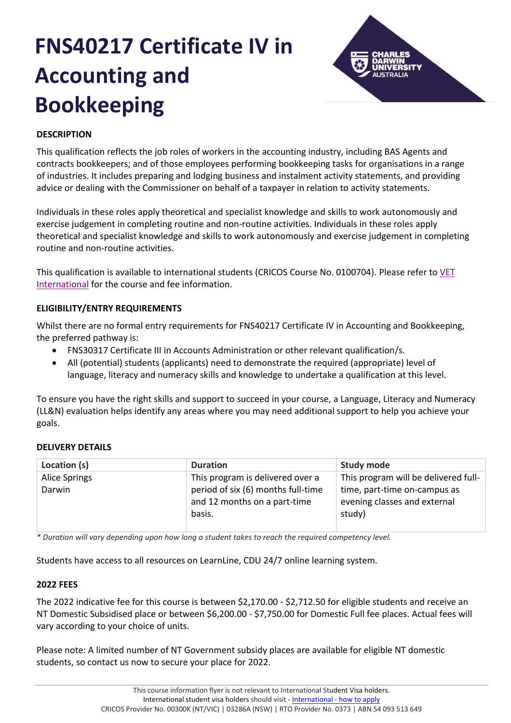# **FNS40217 Certificate IV in Accounting and Bookkeeping**



# **DESCRIPTION**

This qualification reflects the job roles of workers in the accounting industry, including BAS Agents and contracts bookkeepers; and of those employees performing bookkeeping tasks for organisations in a range of industries. It includes preparing and lodging business and instalment activity statements, and providing advice or dealing with the Commissioner on behalf of a taxpayer in relation to activity statements.

Individuals in these roles apply theoretical and specialist knowledge and skills to work autonomously and exercise judgement in completing routine and non-routine activities. Individuals in these roles apply theoretical and specialist knowledge and skills to work autonomously and exercise judgement in completing routine and non-routine activities.

This qualification is available to international students (CRICOS Course No. 0100704). Please refer to [VET](https://www.cdu.edu.au/international/international-vet-packages)  [International](https://www.cdu.edu.au/international/international-vet-packages) for the course and fee information.

# **ELIGIBILITY/ENTRY REQUIREMENTS**

Whilst there are no formal entry requirements for FNS40217 Certificate IV in Accounting and Bookkeeping, the preferred pathway is:

- FNS30317 Certificate III in Accounts Administration or other relevant qualification/s.
- All (potential) students (applicants) need to demonstrate the required (appropriate) level of language, literacy and numeracy skills and knowledge to undertake a qualification at this level.

To ensure you have the right skills and support to succeed in your course, a Language, Literacy and Numeracy (LL&N) evaluation helps identify any areas where you may need additional support to help you achieve your goals.

# **DELIVERY DETAILS**

| Location (s)         | <b>Duration</b>                                                              | <b>Study mode</b>                                                      |
|----------------------|------------------------------------------------------------------------------|------------------------------------------------------------------------|
| <b>Alice Springs</b> | This program is delivered over a                                             | This program will be delivered full-                                   |
| Darwin               | period of six (6) months full-time<br>and 12 months on a part-time<br>basis. | time, part-time on-campus as<br>evening classes and external<br>study) |

*\* Duration will vary depending upon how long a student takes to reach the required competency level.*

Students have access to all resources on LearnLine, CDU 24/7 online learning system.

# **2022 FEES**

The 2022 indicative fee for this course is between \$2,170.00 - \$2,712.50 for eligible students and receive an NT Domestic Subsidised place or between \$6,200.00 - \$7,750.00 for Domestic Full fee places. Actual fees will vary according to your choice of units.

Please note: A limited number of NT Government subsidy places are available for eligible NT domestic students, so contact us now to secure your place for 2022.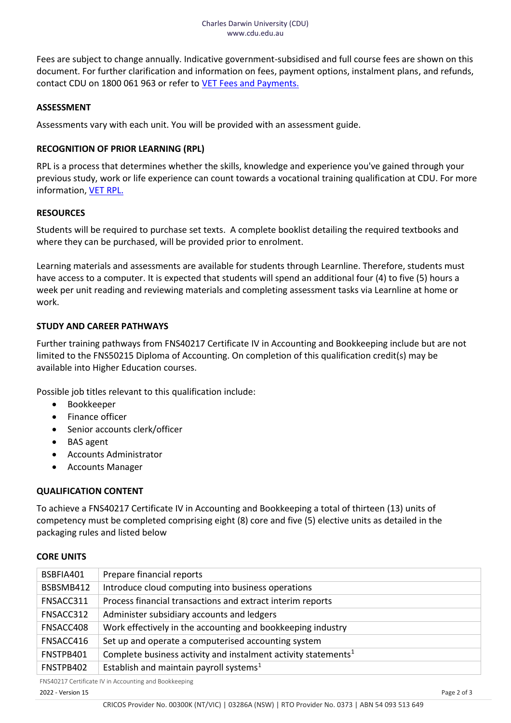Fees are subject to change annually. Indicative government-subsidised and full course fees are shown on this document. For further clarification and information on fees, payment options, instalment plans, and refunds, contact CDU on 1800 061 963 or refer to [VET Fees and Payments.](https://www.cdu.edu.au/current-students/student-admin/fees-payments)

#### **ASSESSMENT**

Assessments vary with each unit. You will be provided with an assessment guide.

#### **RECOGNITION OF PRIOR LEARNING (RPL)**

RPL is a process that determines whether the skills, knowledge and experience you've gained through your previous study, work or life experience can count towards a vocational training qualification at CDU. For more information, [VET RPL.](https://www.cdu.edu.au/study/vocational-education-training/rpl)

#### **RESOURCES**

Students will be required to purchase set texts. A complete booklist detailing the required textbooks and where they can be purchased, will be provided prior to enrolment.

Learning materials and assessments are available for students through Learnline. Therefore, students must have access to a computer. It is expected that students will spend an additional four (4) to five (5) hours a week per unit reading and reviewing materials and completing assessment tasks via Learnline at home or work.

# **STUDY AND CAREER PATHWAYS**

Further training pathways from FNS40217 Certificate IV in Accounting and Bookkeeping include but are not limited to the FNS50215 Diploma of Accounting. On completion of this qualification credit(s) may be available into Higher Education courses.

Possible job titles relevant to this qualification include:

- Bookkeeper
- Finance officer
- Senior accounts clerk/officer
- BAS agent
- Accounts Administrator
- Accounts Manager

# **QUALIFICATION CONTENT**

To achieve a FNS40217 Certificate IV in Accounting and Bookkeeping a total of thirteen (13) units of competency must be completed comprising eight (8) core and five (5) elective units as detailed in the packaging rules and listed below

#### **CORE UNITS**

| BSBFIA401 | Prepare financial reports                                                  |
|-----------|----------------------------------------------------------------------------|
| BSBSMB412 | Introduce cloud computing into business operations                         |
| FNSACC311 | Process financial transactions and extract interim reports                 |
| FNSACC312 | Administer subsidiary accounts and ledgers                                 |
| FNSACC408 | Work effectively in the accounting and bookkeeping industry                |
| FNSACC416 | Set up and operate a computerised accounting system                        |
| FNSTPB401 | Complete business activity and instalment activity statements <sup>1</sup> |
| FNSTPB402 | Establish and maintain payroll systems <sup>1</sup>                        |

FNS40217 Certificate IV in Accounting and Bookkeeping

2022 - Version 15 Page 2 of 3